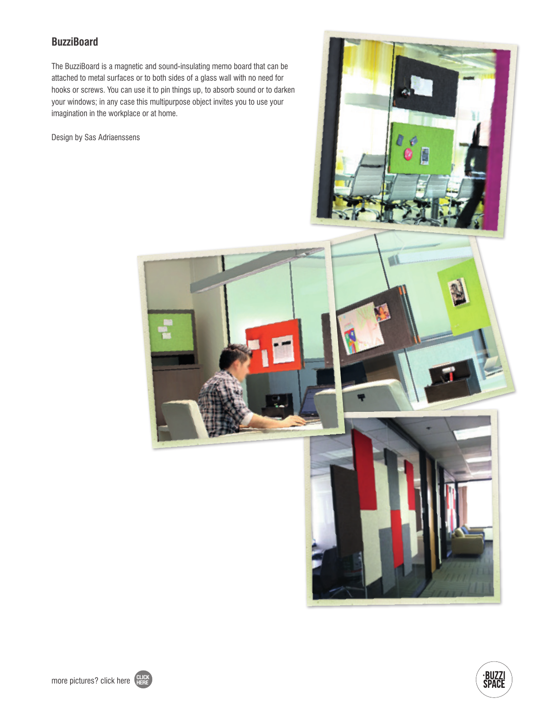## **BuzziBoard**

The BuzziBoard is a magnetic and sound-insulating memo board that can be attached to metal surfaces or to both sides of a glass wall with no need for hooks or screws. You can use it to pin things up, to absorb sound or to darken your windows; in any case this multipurpose object invites you to use your imagination in the workplace or at home.

Design by Sas Adriaenssens









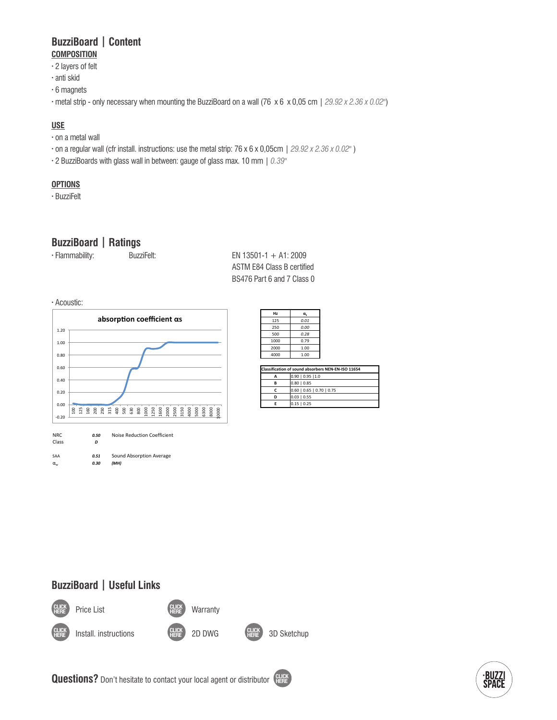### **BuzziBoard | Content COMPOSITION**

- **·** 2 layers of felt
- **·** anti skid
- **·** 6 magnets
- **·** metal strip only necessary when mounting the BuzziBoard on a wall (76 x 6 x 0,05 cm | *29.92 x 2.36 x 0.02"*)

#### **USE**

- **·** on a metal wall
- **·** on a regular wall (cfr install. instructions: use the metal strip: 76 x 6 x 0,05cm | 29.92 x 2.36 x 0.02")
- **·** 2 BuzziBoards with glass wall in between: gauge of glass max. 10 mm | *0.39"* 1.20

#### **OPTIONS**

**·** BuzziFelt

## **BuzziBoard | Ratings**

| · Flammability: | BuzziFelt: | EN 13501-1 + A1: 2009 |
|-----------------|------------|-----------------------|
|                 |            |                       |

ASTM E84 Class B certified BS476 Part 6 and 7 Class 0 Class *D*

· Acoustic:



| $01-1 + A1:2009$<br>84 Class B certified<br>Part 6 and 7 Class 0 |                                            |                          |  |  |  |
|------------------------------------------------------------------|--------------------------------------------|--------------------------|--|--|--|
|                                                                  | Hz                                         | $\alpha_{\rm s}$         |  |  |  |
|                                                                  | 125                                        | 0.01                     |  |  |  |
|                                                                  | 250                                        | 0.00                     |  |  |  |
|                                                                  | 500                                        | 0.28                     |  |  |  |
|                                                                  | 1000                                       | 0.79                     |  |  |  |
|                                                                  | 2000                                       | 1.00                     |  |  |  |
|                                                                  | 4000                                       | 1.00                     |  |  |  |
|                                                                  |                                            |                          |  |  |  |
|                                                                  | <b>Classification of sound absorbers N</b> |                          |  |  |  |
|                                                                  | A                                          | $0.90$   0.95   1.0      |  |  |  |
|                                                                  | в                                          | 0.8010.85                |  |  |  |
|                                                                  | Ċ                                          | $0.60$   $0.65$   $0.70$ |  |  |  |
|                                                                  | D                                          | $0.03$   $0.55$          |  |  |  |
|                                                                  | E                                          | $0.15 \mid 0.25$         |  |  |  |

| Classification of sound absorbers NEN-EN-ISO 11654 |                             |  |  |
|----------------------------------------------------|-----------------------------|--|--|
| А                                                  | $0.90$   0.95   1.0         |  |  |
| в                                                  | $0.80$   $0.85$             |  |  |
|                                                    | $0.60$   0.65   0.70   0.75 |  |  |
| D                                                  | $0.03$   0.55               |  |  |
|                                                    | $0.15$   0.25               |  |  |